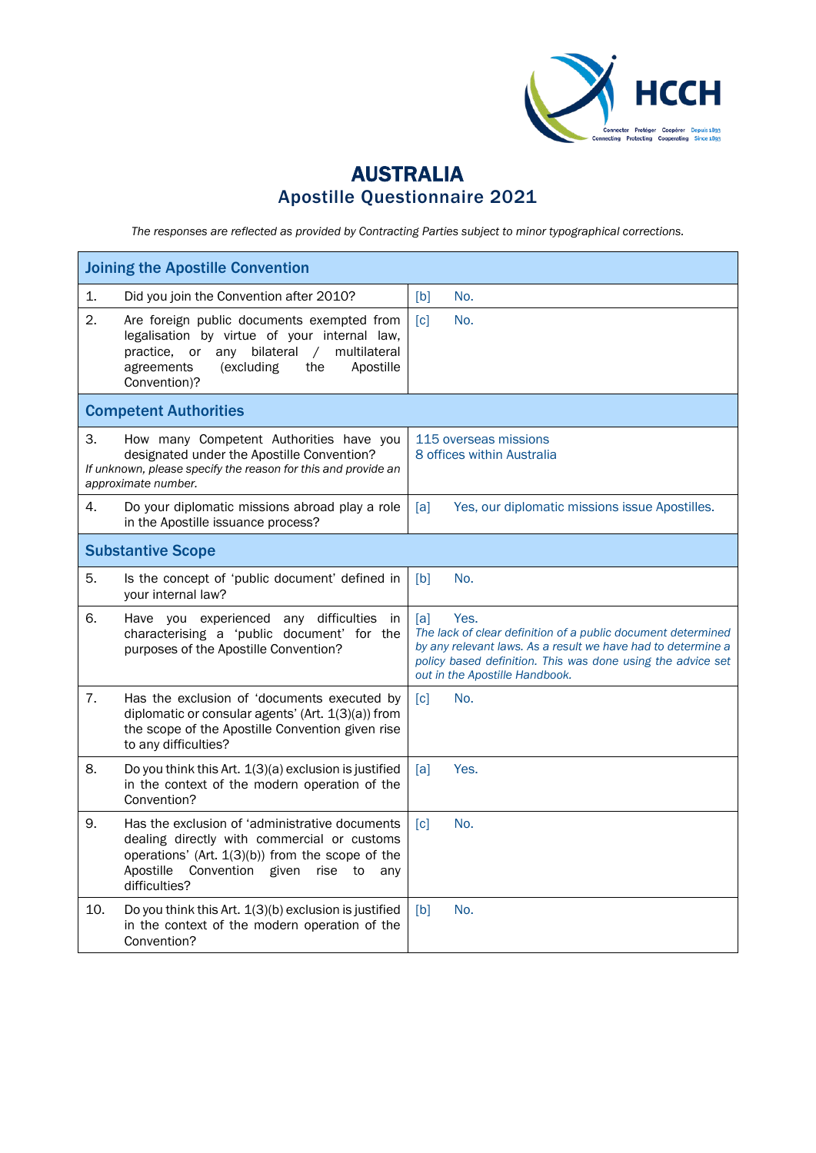

## AUSTRALIA Apostille Questionnaire 2021

*The responses are reflected as provided by Contracting Parties subject to minor typographical corrections.*

| <b>Joining the Apostille Convention</b>                                                                                                                                                                                         |                                                                                                                                                                                                                                              |  |  |
|---------------------------------------------------------------------------------------------------------------------------------------------------------------------------------------------------------------------------------|----------------------------------------------------------------------------------------------------------------------------------------------------------------------------------------------------------------------------------------------|--|--|
| 1.<br>Did you join the Convention after 2010?                                                                                                                                                                                   | [b]<br>No.                                                                                                                                                                                                                                   |  |  |
| 2.<br>Are foreign public documents exempted from<br>legalisation by virtue of your internal law,<br>any bilateral<br>practice, or<br>multilateral<br>$\sqrt{2}$<br>agreements<br>(excluding<br>the<br>Apostille<br>Convention)? | No.<br>$\lceil c \rceil$                                                                                                                                                                                                                     |  |  |
| <b>Competent Authorities</b>                                                                                                                                                                                                    |                                                                                                                                                                                                                                              |  |  |
| 3.<br>How many Competent Authorities have you<br>designated under the Apostille Convention?<br>If unknown, please specify the reason for this and provide an<br>approximate number.                                             | 115 overseas missions<br>8 offices within Australia                                                                                                                                                                                          |  |  |
| 4.<br>Do your diplomatic missions abroad play a role<br>in the Apostille issuance process?                                                                                                                                      | [a]<br>Yes, our diplomatic missions issue Apostilles.                                                                                                                                                                                        |  |  |
| <b>Substantive Scope</b>                                                                                                                                                                                                        |                                                                                                                                                                                                                                              |  |  |
| 5.<br>Is the concept of 'public document' defined in<br>your internal law?                                                                                                                                                      | No.<br>[b]                                                                                                                                                                                                                                   |  |  |
| 6.<br>Have you experienced any difficulties<br>in.<br>characterising a 'public document' for the<br>purposes of the Apostille Convention?                                                                                       | Yes.<br>[a]<br>The lack of clear definition of a public document determined<br>by any relevant laws. As a result we have had to determine a<br>policy based definition. This was done using the advice set<br>out in the Apostille Handbook. |  |  |
| 7.<br>Has the exclusion of 'documents executed by<br>diplomatic or consular agents' (Art. 1(3)(a)) from<br>the scope of the Apostille Convention given rise<br>to any difficulties?                                             | [c]<br>No.                                                                                                                                                                                                                                   |  |  |
| 8.<br>Do you think this Art. 1(3)(a) exclusion is justified<br>in the context of the modern operation of the<br>Convention?                                                                                                     | [a]<br>Yes.                                                                                                                                                                                                                                  |  |  |
| 9.<br>Has the exclusion of 'administrative documents<br>dealing directly with commercial or customs<br>operations' (Art. 1(3)(b)) from the scope of the<br>Apostille<br>Convention given<br>rise<br>to<br>any<br>difficulties?  | $\lceil c \rceil$<br>No.                                                                                                                                                                                                                     |  |  |
| 10.<br>Do you think this Art. 1(3)(b) exclusion is justified<br>in the context of the modern operation of the<br>Convention?                                                                                                    | No.<br>[b]                                                                                                                                                                                                                                   |  |  |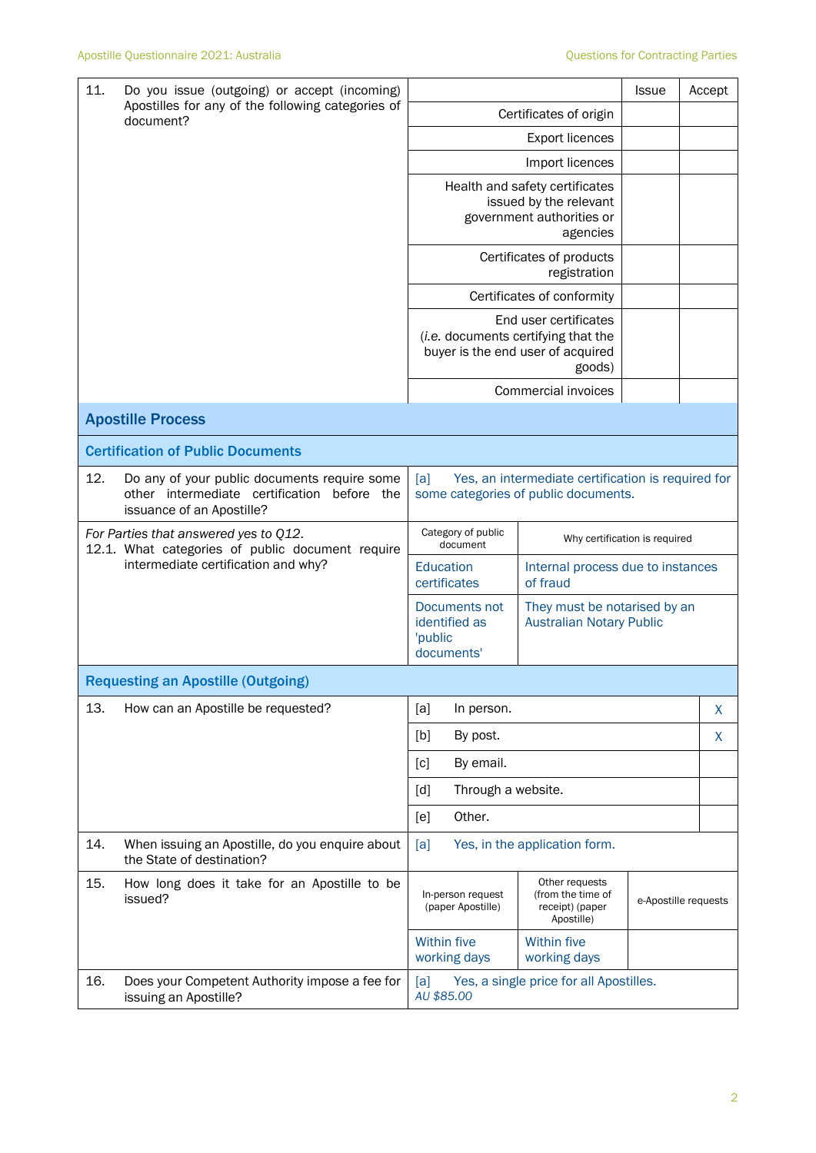| 11.<br>Do you issue (outgoing) or accept (incoming)<br>Apostilles for any of the following categories of<br>document? |                                                                                                                             |                                                                                                   | <b>Issue</b>                                                         | Accept               |   |  |
|-----------------------------------------------------------------------------------------------------------------------|-----------------------------------------------------------------------------------------------------------------------------|---------------------------------------------------------------------------------------------------|----------------------------------------------------------------------|----------------------|---|--|
|                                                                                                                       |                                                                                                                             |                                                                                                   | Certificates of origin                                               |                      |   |  |
|                                                                                                                       |                                                                                                                             |                                                                                                   | <b>Export licences</b>                                               |                      |   |  |
|                                                                                                                       |                                                                                                                             |                                                                                                   | Import licences                                                      |                      |   |  |
|                                                                                                                       |                                                                                                                             |                                                                                                   | Health and safety certificates<br>issued by the relevant             |                      |   |  |
|                                                                                                                       |                                                                                                                             | government authorities or                                                                         |                                                                      |                      |   |  |
|                                                                                                                       |                                                                                                                             | Certificates of products                                                                          |                                                                      |                      |   |  |
|                                                                                                                       |                                                                                                                             |                                                                                                   | registration<br>Certificates of conformity                           |                      |   |  |
|                                                                                                                       |                                                                                                                             |                                                                                                   | End user certificates                                                |                      |   |  |
|                                                                                                                       |                                                                                                                             | (i.e. documents certifying that the<br>buyer is the end user of acquired                          |                                                                      |                      |   |  |
|                                                                                                                       |                                                                                                                             |                                                                                                   | goods)<br>Commercial invoices                                        |                      |   |  |
|                                                                                                                       | <b>Apostille Process</b>                                                                                                    |                                                                                                   |                                                                      |                      |   |  |
|                                                                                                                       | <b>Certification of Public Documents</b>                                                                                    |                                                                                                   |                                                                      |                      |   |  |
| 12.                                                                                                                   | Do any of your public documents require some<br>other intermediate certification<br>before the<br>issuance of an Apostille? | [a]<br>Yes, an intermediate certification is required for<br>some categories of public documents. |                                                                      |                      |   |  |
|                                                                                                                       | For Parties that answered yes to Q12.                                                                                       | Category of public<br>document                                                                    | Why certification is required                                        |                      |   |  |
|                                                                                                                       | 12.1. What categories of public document require<br>intermediate certification and why?                                     | Education<br>Internal process due to instances<br>certificates<br>of fraud                        |                                                                      |                      |   |  |
|                                                                                                                       |                                                                                                                             | Documents not<br>identified as<br>'public<br>documents'                                           | They must be notarised by an<br><b>Australian Notary Public</b>      |                      |   |  |
|                                                                                                                       | <b>Requesting an Apostille (Outgoing)</b>                                                                                   |                                                                                                   |                                                                      |                      |   |  |
| 13.                                                                                                                   | How can an Apostille be requested?                                                                                          | [a]<br>In person.                                                                                 |                                                                      |                      | X |  |
|                                                                                                                       |                                                                                                                             | [b]<br>By post.                                                                                   |                                                                      |                      | X |  |
|                                                                                                                       |                                                                                                                             | By email.<br>[c]                                                                                  |                                                                      |                      |   |  |
|                                                                                                                       |                                                                                                                             | Through a website.<br>[d]                                                                         |                                                                      |                      |   |  |
|                                                                                                                       |                                                                                                                             | Other.<br>[e]                                                                                     |                                                                      |                      |   |  |
| 14.                                                                                                                   | When issuing an Apostille, do you enquire about<br>the State of destination?                                                | [a]                                                                                               | Yes, in the application form.                                        |                      |   |  |
| 15.                                                                                                                   | How long does it take for an Apostille to be<br>issued?                                                                     | In-person request<br>(paper Apostille)                                                            | Other requests<br>(from the time of<br>receipt) (paper<br>Apostille) | e-Apostille requests |   |  |
|                                                                                                                       |                                                                                                                             | Within five<br>working days                                                                       | <b>Within five</b><br>working days                                   |                      |   |  |
| 16.                                                                                                                   | Does your Competent Authority impose a fee for<br>issuing an Apostille?                                                     | [a]<br>AU \$85.00                                                                                 | Yes, a single price for all Apostilles.                              |                      |   |  |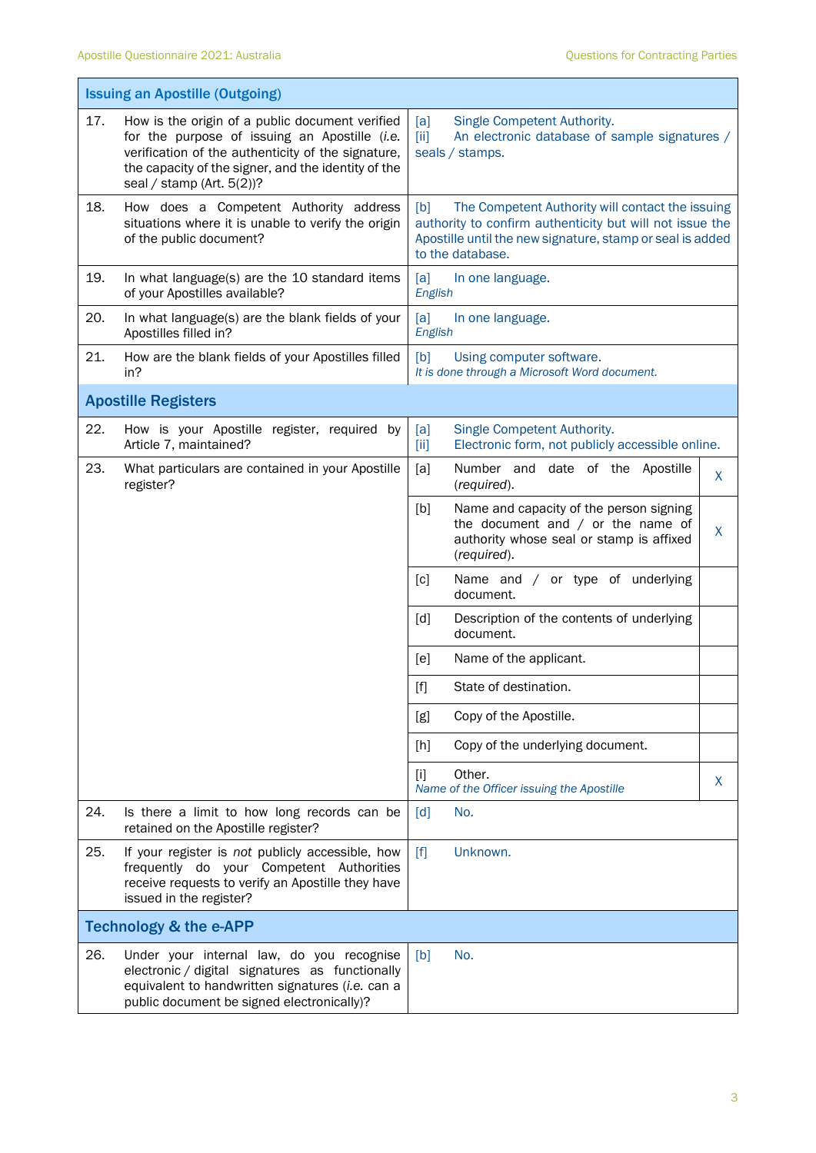$\mathbf{r}$ 

| <b>Issuing an Apostille (Outgoing)</b> |                                                                                                                                                                                                                                               |                                                                                                                                                                                                      |  |  |
|----------------------------------------|-----------------------------------------------------------------------------------------------------------------------------------------------------------------------------------------------------------------------------------------------|------------------------------------------------------------------------------------------------------------------------------------------------------------------------------------------------------|--|--|
| 17.                                    | How is the origin of a public document verified<br>for the purpose of issuing an Apostille (i.e.<br>verification of the authenticity of the signature,<br>the capacity of the signer, and the identity of the<br>seal / stamp (Art. $5(2)$ )? | Single Competent Authority.<br>[a]<br>An electronic database of sample signatures /<br>[iii]<br>seals / stamps.                                                                                      |  |  |
| 18.                                    | How does a Competent Authority address<br>situations where it is unable to verify the origin<br>of the public document?                                                                                                                       | [b]<br>The Competent Authority will contact the issuing<br>authority to confirm authenticity but will not issue the<br>Apostille until the new signature, stamp or seal is added<br>to the database. |  |  |
| 19.                                    | In what language(s) are the 10 standard items<br>of your Apostilles available?                                                                                                                                                                | [a]<br>In one language.<br>English                                                                                                                                                                   |  |  |
| 20.                                    | In what language(s) are the blank fields of your<br>Apostilles filled in?                                                                                                                                                                     | [a]<br>In one language.<br>English                                                                                                                                                                   |  |  |
| 21.                                    | How are the blank fields of your Apostilles filled<br>in?                                                                                                                                                                                     | [b]<br>Using computer software.<br>It is done through a Microsoft Word document.                                                                                                                     |  |  |
|                                        | <b>Apostille Registers</b>                                                                                                                                                                                                                    |                                                                                                                                                                                                      |  |  |
| 22.                                    | How is your Apostille register, required by<br>Article 7, maintained?                                                                                                                                                                         | Single Competent Authority.<br>[a]<br>[iii]<br>Electronic form, not publicly accessible online.                                                                                                      |  |  |
| 23.                                    | What particulars are contained in your Apostille<br>register?                                                                                                                                                                                 | Number and<br>[a]<br>date of the Apostille<br>X<br>(required).                                                                                                                                       |  |  |
|                                        |                                                                                                                                                                                                                                               | [b]<br>Name and capacity of the person signing<br>the document and $/$ or the name of<br>X<br>authority whose seal or stamp is affixed<br>(required).                                                |  |  |
|                                        |                                                                                                                                                                                                                                               | Name and / or type of underlying<br>[c]<br>document.                                                                                                                                                 |  |  |
|                                        |                                                                                                                                                                                                                                               | [d]<br>Description of the contents of underlying<br>document.                                                                                                                                        |  |  |
|                                        |                                                                                                                                                                                                                                               | [e]<br>Name of the applicant.                                                                                                                                                                        |  |  |
|                                        |                                                                                                                                                                                                                                               | State of destination.<br>$[f]$                                                                                                                                                                       |  |  |
|                                        |                                                                                                                                                                                                                                               | Copy of the Apostille.<br>[g]                                                                                                                                                                        |  |  |
|                                        |                                                                                                                                                                                                                                               | Copy of the underlying document.<br>[h]                                                                                                                                                              |  |  |
|                                        |                                                                                                                                                                                                                                               | Other.<br>$[1]$<br>X<br>Name of the Officer issuing the Apostille                                                                                                                                    |  |  |
| 24.                                    | Is there a limit to how long records can be<br>retained on the Apostille register?                                                                                                                                                            | [d]<br>No.                                                                                                                                                                                           |  |  |
| 25.                                    | If your register is not publicly accessible, how<br>frequently do your Competent Authorities<br>receive requests to verify an Apostille they have<br>issued in the register?                                                                  | [f]<br>Unknown.                                                                                                                                                                                      |  |  |
|                                        | <b>Technology &amp; the e-APP</b>                                                                                                                                                                                                             |                                                                                                                                                                                                      |  |  |
| 26.                                    | Under your internal law, do you recognise<br>electronic / digital signatures as functionally<br>equivalent to handwritten signatures (i.e. can a<br>public document be signed electronically)?                                                | [b]<br>No.                                                                                                                                                                                           |  |  |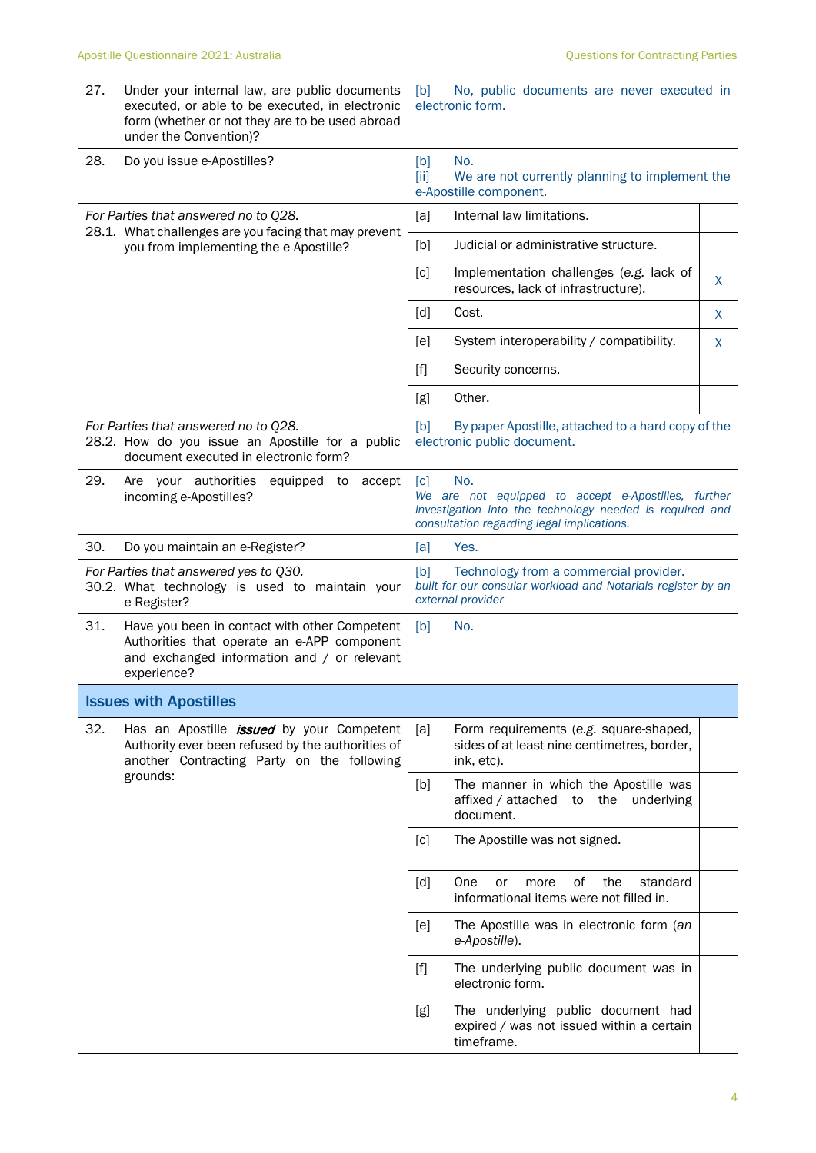| 27. | Under your internal law, are public documents<br>executed, or able to be executed, in electronic<br>form (whether or not they are to be used abroad<br>under the Convention)? | [b]<br>No, public documents are never executed in<br>electronic form.                                                                                                       |    |  |
|-----|-------------------------------------------------------------------------------------------------------------------------------------------------------------------------------|-----------------------------------------------------------------------------------------------------------------------------------------------------------------------------|----|--|
| 28. | Do you issue e-Apostilles?                                                                                                                                                    | [b]<br>No.<br>[ii]<br>We are not currently planning to implement the<br>e-Apostille component.                                                                              |    |  |
|     | For Parties that answered no to Q28.                                                                                                                                          | [a]<br>Internal law limitations.                                                                                                                                            |    |  |
|     | 28.1. What challenges are you facing that may prevent<br>you from implementing the e-Apostille?                                                                               | [b]<br>Judicial or administrative structure.                                                                                                                                |    |  |
|     |                                                                                                                                                                               | [c]<br>Implementation challenges (e.g. lack of<br>resources, lack of infrastructure).                                                                                       | X  |  |
|     |                                                                                                                                                                               | Cost.<br>[d]                                                                                                                                                                | X. |  |
|     |                                                                                                                                                                               | System interoperability / compatibility.<br>[e]                                                                                                                             | X  |  |
|     |                                                                                                                                                                               | Security concerns.<br>$[f]$                                                                                                                                                 |    |  |
|     |                                                                                                                                                                               | Other.<br>[g]                                                                                                                                                               |    |  |
|     | For Parties that answered no to Q28.<br>28.2. How do you issue an Apostille for a public<br>document executed in electronic form?                                             | By paper Apostille, attached to a hard copy of the<br>[b]<br>electronic public document.                                                                                    |    |  |
| 29. | Are your authorities<br>equipped to accept<br>incoming e-Apostilles?                                                                                                          | No.<br>[c]<br>We are not equipped to accept e-Apostilles, further<br>investigation into the technology needed is required and<br>consultation regarding legal implications. |    |  |
| 30. | Do you maintain an e-Register?                                                                                                                                                | [a]<br>Yes.                                                                                                                                                                 |    |  |
|     | For Parties that answered yes to Q30.<br>30.2. What technology is used to maintain your<br>e-Register?                                                                        | Technology from a commercial provider.<br>[b]<br>built for our consular workload and Notarials register by an<br>external provider                                          |    |  |
| 31. | Have you been in contact with other Competent<br>Authorities that operate an e-APP component<br>and exchanged information and / or relevant<br>experience?                    | [b]<br>No.                                                                                                                                                                  |    |  |
|     | <b>Issues with Apostilles</b>                                                                                                                                                 |                                                                                                                                                                             |    |  |
| 32. | Has an Apostille <i>issued</i> by your Competent<br>Authority ever been refused by the authorities of<br>another Contracting Party on the following                           | [a]<br>Form requirements (e.g. square-shaped,<br>sides of at least nine centimetres, border,<br>ink, etc).                                                                  |    |  |
|     | grounds:                                                                                                                                                                      | [b]<br>The manner in which the Apostille was<br>affixed / attached to<br>the underlying<br>document.                                                                        |    |  |
|     |                                                                                                                                                                               | [c]<br>The Apostille was not signed.                                                                                                                                        |    |  |
|     |                                                                                                                                                                               | of<br>[d]<br>One<br>the<br>standard<br>or<br>more<br>informational items were not filled in.                                                                                |    |  |
|     |                                                                                                                                                                               | The Apostille was in electronic form (an<br>[e]<br>e-Apostille).                                                                                                            |    |  |
|     |                                                                                                                                                                               | $[f]$<br>The underlying public document was in<br>electronic form.                                                                                                          |    |  |
|     |                                                                                                                                                                               | The underlying public document had<br>[g]<br>expired / was not issued within a certain<br>timeframe.                                                                        |    |  |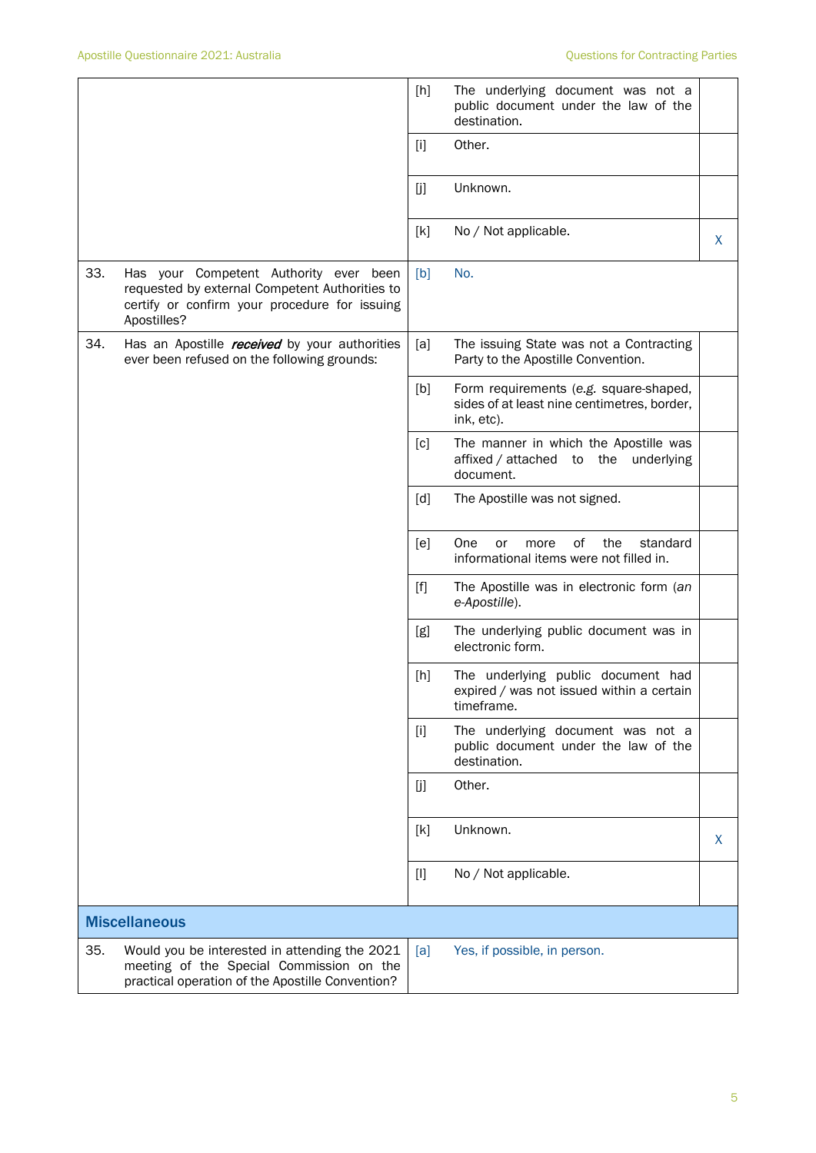|     |                                                                                                                                                          | [h]              | The underlying document was not a<br>public document under the law of the<br>destination.           |   |
|-----|----------------------------------------------------------------------------------------------------------------------------------------------------------|------------------|-----------------------------------------------------------------------------------------------------|---|
|     |                                                                                                                                                          | $[1]$            | Other.                                                                                              |   |
|     |                                                                                                                                                          | [j]              | Unknown.                                                                                            |   |
|     |                                                                                                                                                          | [k]              | No / Not applicable.                                                                                | X |
| 33. | Has your Competent Authority ever been<br>requested by external Competent Authorities to<br>certify or confirm your procedure for issuing<br>Apostilles? | [b]              | No.                                                                                                 |   |
| 34. | Has an Apostille <i>received</i> by your authorities<br>ever been refused on the following grounds:                                                      | [a]              | The issuing State was not a Contracting<br>Party to the Apostille Convention.                       |   |
|     |                                                                                                                                                          | [b]              | Form requirements (e.g. square-shaped,<br>sides of at least nine centimetres, border,<br>ink, etc). |   |
|     |                                                                                                                                                          | [c]              | The manner in which the Apostille was<br>affixed / attached to the underlying<br>document.          |   |
|     |                                                                                                                                                          | [d]              | The Apostille was not signed.                                                                       |   |
|     |                                                                                                                                                          | [ <sub>e</sub> ] | of<br>One<br>the<br>standard<br>or<br>more<br>informational items were not filled in.               |   |
|     |                                                                                                                                                          | $[f]$            | The Apostille was in electronic form (an<br>e-Apostille).                                           |   |
|     |                                                                                                                                                          | [g]              | The underlying public document was in<br>electronic form.                                           |   |
|     |                                                                                                                                                          | [h]              | The underlying public document had<br>expired / was not issued within a certain<br>timeframe.       |   |
|     |                                                                                                                                                          | $[1]$            | The underlying document was not a<br>public document under the law of the<br>destination.           |   |
|     |                                                                                                                                                          | [j]              | Other.                                                                                              |   |
|     |                                                                                                                                                          | [k]              | Unknown.                                                                                            | X |
|     |                                                                                                                                                          | $[1]$            | No / Not applicable.                                                                                |   |
|     | <b>Miscellaneous</b>                                                                                                                                     |                  |                                                                                                     |   |
| 35. | Would you be interested in attending the 2021<br>meeting of the Special Commission on the<br>practical operation of the Apostille Convention?            | [a]              | Yes, if possible, in person.                                                                        |   |